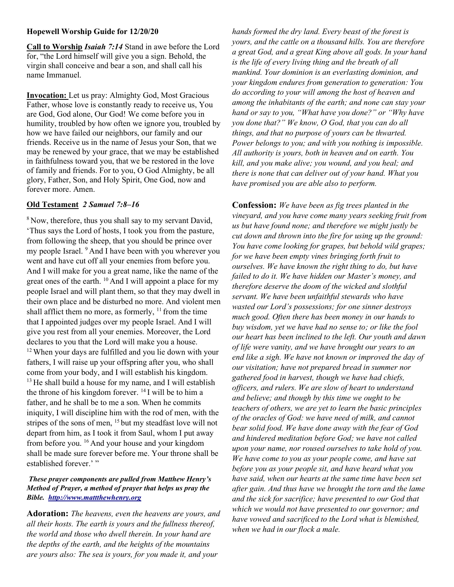## Hopewell Worship Guide for 12/20/20

Call to Worship Isaiah 7:14 Stand in awe before the Lord for, "the Lord himself will give you a sign. Behold, the virgin shall conceive and bear a son, and shall call his name Immanuel.

Invocation: Let us pray: Almighty God, Most Gracious Father, whose love is constantly ready to receive us, You are God, God alone, Our God! We come before you in humility, troubled by how often we ignore you, troubled by how we have failed our neighbors, our family and our friends. Receive us in the name of Jesus your Son, that we may be renewed by your grace, that we may be established in faithfulness toward you, that we be restored in the love of family and friends. For to you, O God Almighty, be all glory, Father, Son, and Holy Spirit, One God, now and forever more. Amen.

## Old Testament 2 Samuel 7:8–16

<sup>8</sup> Now, therefore, thus you shall say to my servant David, 'Thus says the Lord of hosts, I took you from the pasture, from following the sheep, that you should be prince over my people Israel. <sup>9</sup> And I have been with you wherever you went and have cut off all your enemies from before you. And I will make for you a great name, like the name of the great ones of the earth.  $^{10}$  And I will appoint a place for my people Israel and will plant them, so that they may dwell in their own place and be disturbed no more. And violent men shall afflict them no more, as formerly,  $11$  from the time that I appointed judges over my people Israel. And I will give you rest from all your enemies. Moreover, the Lord declares to you that the Lord will make you a house. <sup>12</sup>When your days are fulfilled and you lie down with your fathers, I will raise up your offspring after you, who shall come from your body, and I will establish his kingdom.  $13$  He shall build a house for my name, and I will establish the throne of his kingdom forever.  $^{14}$  I will be to him a father, and he shall be to me a son. When he commits iniquity, I will discipline him with the rod of men, with the stripes of the sons of men, <sup>15</sup> but my steadfast love will not depart from him, as I took it from Saul, whom I put away from before you. <sup>16</sup> And your house and your kingdom shall be made sure forever before me. Your throne shall be established forever.'"

## These prayer components are pulled from Matthew Henry's Method of Prayer, a method of prayer that helps us pray the Bible. http://www.mattthewhenry.org

Adoration: The heavens, even the heavens are yours, and all their hosts. The earth is yours and the fullness thereof, the world and those who dwell therein. In your hand are the depths of the earth, and the heights of the mountains are yours also: The sea is yours, for you made it, and your

hands formed the dry land. Every beast of the forest is yours, and the cattle on a thousand hills. You are therefore a great God, and a great King above all gods. In your hand is the life of every living thing and the breath of all mankind. Your dominion is an everlasting dominion, and your kingdom endures from generation to generation: You do according to your will among the host of heaven and among the inhabitants of the earth; and none can stay your hand or say to you, "What have you done?" or "Why have you done that?" We know, O God, that you can do all things, and that no purpose of yours can be thwarted. Power belongs to you; and with you nothing is impossible. All authority is yours, both in heaven and on earth. You kill, and you make alive; you wound, and you heal; and there is none that can deliver out of your hand. What you have promised you are able also to perform.

Confession: We have been as fig trees planted in the vineyard, and you have come many years seeking fruit from us but have found none; and therefore we might justly be cut down and thrown into the fire for using up the ground: You have come looking for grapes, but behold wild grapes; for we have been empty vines bringing forth fruit to ourselves. We have known the right thing to do, but have failed to do it. We have hidden our Master's money, and therefore deserve the doom of the wicked and slothful servant. We have been unfaithful stewards who have wasted our Lord's possessions; for one sinner destroys much good. Often there has been money in our hands to buy wisdom, yet we have had no sense to; or like the fool our heart has been inclined to the left. Our youth and dawn of life were vanity, and we have brought our years to an end like a sigh. We have not known or improved the day of our visitation; have not prepared bread in summer nor gathered food in harvest, though we have had chiefs, officers, and rulers. We are slow of heart to understand and believe; and though by this time we ought to be teachers of others, we are yet to learn the basic principles of the oracles of God: we have need of milk, and cannot bear solid food. We have done away with the fear of God and hindered meditation before God; we have not called upon your name, nor roused ourselves to take hold of you. We have come to you as your people come, and have sat before you as your people sit, and have heard what you have said, when our hearts at the same time have been set after gain. And thus have we brought the torn and the lame and the sick for sacrifice; have presented to our God that which we would not have presented to our governor; and have vowed and sacrificed to the Lord what is blemished, when we had in our flock a male.